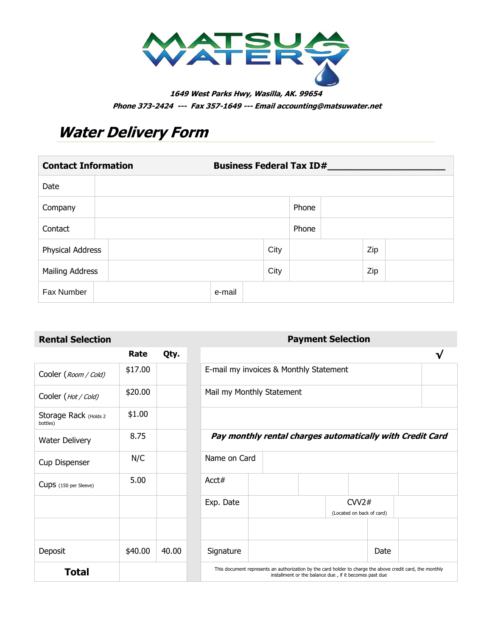

**1649 West Parks Hwy, Wasilla, AK. 99654 Phone 373-2424 --- Fax 357-1649 --- Email accounting@matsuwater.net**

# **Water Delivery Form**

| <b>Contact Information</b> |  | <b>Business Federal Tax ID#__</b> |      |       |     |  |
|----------------------------|--|-----------------------------------|------|-------|-----|--|
| Date                       |  |                                   |      |       |     |  |
| Company                    |  |                                   |      | Phone |     |  |
| Contact                    |  |                                   |      | Phone |     |  |
| Physical Address           |  |                                   | City |       | Zip |  |
| Mailing Address            |  |                                   | City |       | Zip |  |
| Fax Number                 |  | e-mail                            |      |       |     |  |

### **Payment Selection Payment Selection**

|                                   | Rate    | Qty.  |                    |  |
|-----------------------------------|---------|-------|--------------------|--|
| Cooler (Room / Cold)              | \$17.00 |       | E-mail my invo     |  |
| Cooler (Hot / Cold)               | \$20.00 |       | Mail my Month      |  |
| Storage Rack (Holds 2<br>bottles) | \$1.00  |       |                    |  |
| <b>Water Delivery</b>             | 8.75    |       | Pay month          |  |
| Cup Dispenser                     | N/C     |       | Name on Card       |  |
| Cups (150 per Sleeve)             | 5.00    |       | Acct#              |  |
|                                   |         |       | Exp. Date          |  |
|                                   |         |       |                    |  |
| Deposit                           | \$40.00 | 40.00 | Signature          |  |
| Total                             |         |       | This document repr |  |

| Rental Selection                  |         |       |                                                                                                           |  | <b>Payment Selection</b>                               |                                    |      |   |  |
|-----------------------------------|---------|-------|-----------------------------------------------------------------------------------------------------------|--|--------------------------------------------------------|------------------------------------|------|---|--|
|                                   | Rate    | Qty.  |                                                                                                           |  |                                                        |                                    |      | √ |  |
| Cooler (Room / Cold)              | \$17.00 |       | E-mail my invoices & Monthly Statement                                                                    |  |                                                        |                                    |      |   |  |
| Cooler ( <i>Hot / Cold)</i>       | \$20.00 |       | Mail my Monthly Statement                                                                                 |  |                                                        |                                    |      |   |  |
| Storage Rack (Holds 2<br>bottles) | \$1.00  |       |                                                                                                           |  |                                                        |                                    |      |   |  |
| Water Delivery                    | 8.75    |       | Pay monthly rental charges automatically with Credit Card                                                 |  |                                                        |                                    |      |   |  |
| Cup Dispenser                     | N/C     |       | Name on Card                                                                                              |  |                                                        |                                    |      |   |  |
| Cups (150 per Sleeve)             | 5.00    |       | Acct#                                                                                                     |  |                                                        |                                    |      |   |  |
|                                   |         |       | Exp. Date                                                                                                 |  |                                                        | CVV2#<br>(Located on back of card) |      |   |  |
|                                   |         |       |                                                                                                           |  |                                                        |                                    |      |   |  |
| Deposit                           | \$40.00 | 40.00 | Signature                                                                                                 |  |                                                        |                                    | Date |   |  |
| <b>Total</b>                      |         |       | This document represents an authorization by the card holder to charge the above credit card, the monthly |  | installment or the balance due, if it becomes past due |                                    |      |   |  |